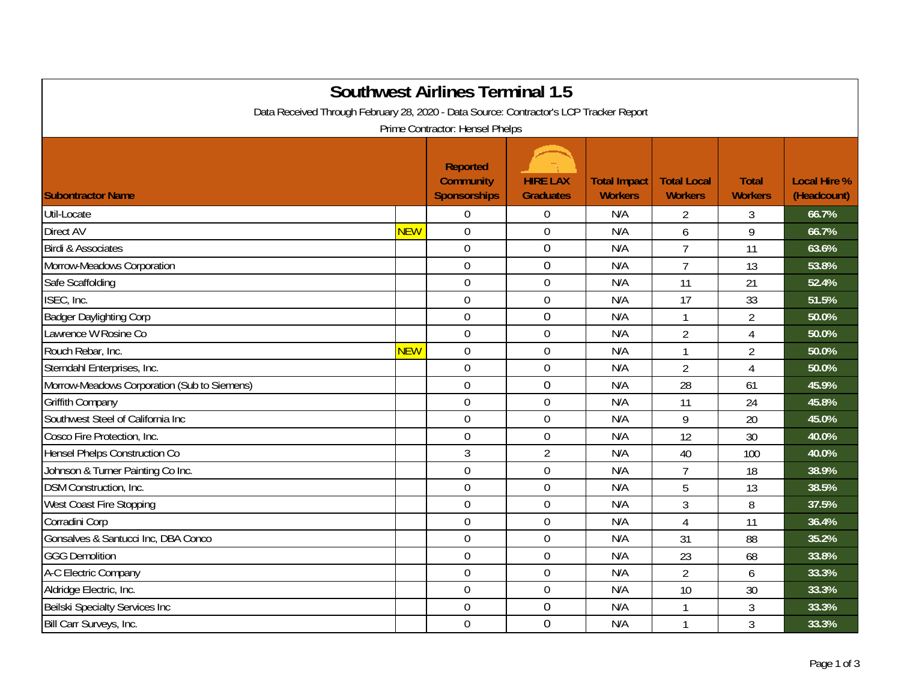| <b>Southwest Airlines Terminal 1.5</b>                                                                                    |            |                                                            |                                     |                                       |                                      |                                |                                    |  |
|---------------------------------------------------------------------------------------------------------------------------|------------|------------------------------------------------------------|-------------------------------------|---------------------------------------|--------------------------------------|--------------------------------|------------------------------------|--|
| Data Received Through February 28, 2020 - Data Source: Contractor's LCP Tracker Report<br>Prime Contractor: Hensel Phelps |            |                                                            |                                     |                                       |                                      |                                |                                    |  |
| <b>Subontractor Name</b>                                                                                                  |            | <b>Reported</b><br><b>Community</b><br><b>Sponsorships</b> | <b>HIRE LAX</b><br><b>Graduates</b> | <b>Total Impact</b><br><b>Workers</b> | <b>Total Local</b><br><b>Workers</b> | <b>Total</b><br><b>Workers</b> | <b>Local Hire %</b><br>(Headcount) |  |
| Util-Locate                                                                                                               |            | $\overline{0}$                                             | $\boldsymbol{0}$                    | N/A                                   | $\overline{2}$                       | 3                              | 66.7%                              |  |
| <b>Direct AV</b>                                                                                                          | <b>NEW</b> | $\mathbf 0$                                                | $\mathbf 0$                         | N/A                                   | 6                                    | 9                              | 66.7%                              |  |
| Birdi & Associates                                                                                                        |            | $\mathbf 0$                                                | $\mathbf 0$                         | N/A                                   | $\overline{7}$                       | 11                             | 63.6%                              |  |
| Morrow-Meadows Corporation                                                                                                |            | $\mathbf 0$                                                | $\mathbf 0$                         | N/A                                   | $\overline{7}$                       | 13                             | 53.8%                              |  |
| Safe Scaffolding                                                                                                          |            | $\mathbf 0$                                                | $\mathbf 0$                         | N/A                                   | 11                                   | 21                             | 52.4%                              |  |
| ISEC, Inc.                                                                                                                |            | $\overline{0}$                                             | $\mathbf 0$                         | N/A                                   | 17                                   | 33                             | 51.5%                              |  |
| <b>Badger Daylighting Corp</b>                                                                                            |            | $\boldsymbol{0}$                                           | $\boldsymbol{0}$                    | N/A                                   | $\mathbf{1}$                         | $\overline{2}$                 | 50.0%                              |  |
| Lawrence W Rosine Co                                                                                                      |            | $\mathbf 0$                                                | $\boldsymbol{0}$                    | N/A                                   | $\overline{2}$                       | 4                              | 50.0%                              |  |
| Rouch Rebar, Inc.                                                                                                         | <b>NEW</b> | $\mathbf 0$                                                | $\boldsymbol{0}$                    | N/A                                   | $\mathbf{1}$                         | $\overline{2}$                 | 50.0%                              |  |
| Sterndahl Enterprises, Inc.                                                                                               |            | $\overline{0}$                                             | $\mathbf 0$                         | N/A                                   | $\overline{2}$                       | 4                              | 50.0%                              |  |
| Morrow-Meadows Corporation (Sub to Siemens)                                                                               |            | $\overline{0}$                                             | $\boldsymbol{0}$                    | N/A                                   | 28                                   | 61                             | 45.9%                              |  |
| <b>Griffith Company</b>                                                                                                   |            | $\mathbf 0$                                                | $\mathbf 0$                         | N/A                                   | 11                                   | 24                             | 45.8%                              |  |
| Southwest Steel of California Inc                                                                                         |            | $\overline{0}$                                             | $\mathbf 0$                         | N/A                                   | 9                                    | 20                             | 45.0%                              |  |
| Cosco Fire Protection, Inc.                                                                                               |            | $\boldsymbol{0}$                                           | $\boldsymbol{0}$                    | N/A                                   | 12                                   | 30                             | 40.0%                              |  |
| <b>Hensel Phelps Construction Co</b>                                                                                      |            | $\mathfrak{Z}$                                             | $\overline{2}$                      | N/A                                   | 40                                   | 100                            | 40.0%                              |  |
| Johnson & Turner Painting Co Inc.                                                                                         |            | $\mathbf 0$                                                | $\boldsymbol{0}$                    | N/A                                   | $\overline{7}$                       | 18                             | 38.9%                              |  |
| <b>DSM Construction, Inc.</b>                                                                                             |            | $\overline{0}$                                             | $\mathbf 0$                         | N/A                                   | 5                                    | 13                             | 38.5%                              |  |
| West Coast Fire Stopping                                                                                                  |            | $\mathbf 0$                                                | $\boldsymbol{0}$                    | N/A                                   | 3                                    | 8                              | 37.5%                              |  |
| Corradini Corp                                                                                                            |            | $\mathbf 0$                                                | $\mathbf 0$                         | N/A                                   | $\overline{4}$                       | 11                             | 36.4%                              |  |
| Gonsalves & Santucci Inc, DBA Conco                                                                                       |            | $\overline{0}$                                             | $\overline{0}$                      | N/A                                   | 31                                   | 88                             | 35.2%                              |  |
| <b>GGG Demolition</b>                                                                                                     |            | $\mathbf 0$                                                | $\boldsymbol{0}$                    | N/A                                   | 23                                   | 68                             | 33.8%                              |  |
| A-C Electric Company                                                                                                      |            | $\mathbf 0$                                                | $\mathbf 0$                         | N/A                                   | $\overline{2}$                       | 6                              | 33.3%                              |  |
| Aldridge Electric, Inc.                                                                                                   |            | $\mathbf 0$                                                | $\mathbf 0$                         | N/A                                   | 10                                   | 30                             | 33.3%                              |  |
| Beilski Specialty Services Inc                                                                                            |            | $\mathbf 0$                                                | $\mathbf 0$                         | N/A                                   | 1                                    | $\mathfrak{Z}$                 | 33.3%                              |  |
| Bill Carr Surveys, Inc.                                                                                                   |            | $\mathbf 0$                                                | $\mathbf 0$                         | N/A                                   | 1                                    | 3                              | 33.3%                              |  |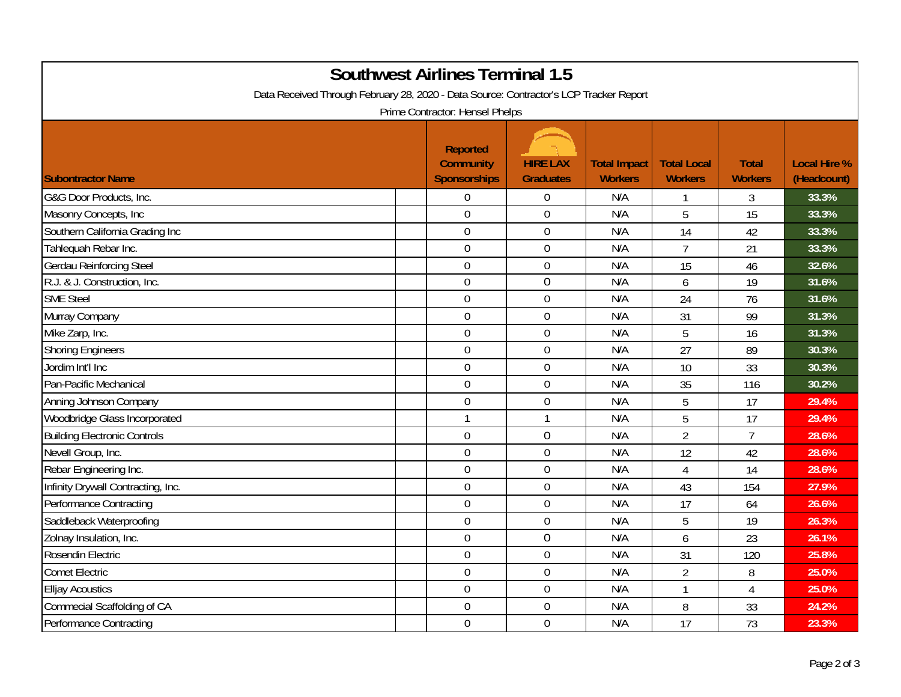| <b>Southwest Airlines Terminal 1.5</b><br>Data Received Through February 28, 2020 - Data Source: Contractor's LCP Tracker Report<br>Prime Contractor: Hensel Phelps |                                                            |                                     |                                       |                                      |                                |                                    |  |  |
|---------------------------------------------------------------------------------------------------------------------------------------------------------------------|------------------------------------------------------------|-------------------------------------|---------------------------------------|--------------------------------------|--------------------------------|------------------------------------|--|--|
| <b>Subontractor Name</b>                                                                                                                                            | <b>Reported</b><br><b>Community</b><br><b>Sponsorships</b> | <b>HIRE LAX</b><br><b>Graduates</b> | <b>Total Impact</b><br><b>Workers</b> | <b>Total Local</b><br><b>Workers</b> | <b>Total</b><br><b>Workers</b> | <b>Local Hire %</b><br>(Headcount) |  |  |
| G&G Door Products, Inc.                                                                                                                                             | $\mathbf 0$                                                | $\overline{0}$                      | N/A                                   | 1                                    | 3                              | 33.3%                              |  |  |
| Masonry Concepts, Inc                                                                                                                                               | $\overline{0}$                                             | $\boldsymbol{0}$                    | N/A                                   | 5                                    | 15                             | 33.3%                              |  |  |
| Southern California Grading Inc                                                                                                                                     | $\mathbf 0$                                                | $\boldsymbol{0}$                    | N/A                                   | 14                                   | 42                             | 33.3%                              |  |  |
| Tahlequah Rebar Inc.                                                                                                                                                | $\mathbf 0$                                                | $\mathbf 0$                         | N/A                                   | $\overline{7}$                       | 21                             | 33.3%                              |  |  |
| <b>Gerdau Reinforcing Steel</b>                                                                                                                                     | $\mathbf 0$                                                | $\boldsymbol{0}$                    | N/A                                   | 15                                   | 46                             | 32.6%                              |  |  |
| R.J. & J. Construction, Inc.                                                                                                                                        | $\overline{0}$                                             | $\mathbf 0$                         | N/A                                   | 6                                    | 19                             | 31.6%                              |  |  |
| <b>SME Steel</b>                                                                                                                                                    | $\mathbf 0$                                                | $\boldsymbol{0}$                    | N/A                                   | 24                                   | 76                             | 31.6%                              |  |  |
| Murray Company                                                                                                                                                      | $\overline{0}$                                             | $\mathbf 0$                         | N/A                                   | 31                                   | 99                             | 31.3%                              |  |  |
| Mike Zarp, Inc.                                                                                                                                                     | $\mathbf 0$                                                | $\mathbf 0$                         | N/A                                   | 5                                    | 16                             | 31.3%                              |  |  |
| <b>Shoring Engineers</b>                                                                                                                                            | $\mathbf 0$                                                | $\boldsymbol{0}$                    | N/A                                   | 27                                   | 89                             | 30.3%                              |  |  |
| Jordim Int'l Inc                                                                                                                                                    | $\mathbf 0$                                                | $\boldsymbol{0}$                    | N/A                                   | 10                                   | 33                             | 30.3%                              |  |  |
| Pan-Pacific Mechanical                                                                                                                                              | $\mathbf 0$                                                | $\boldsymbol{0}$                    | N/A                                   | 35                                   | 116                            | 30.2%                              |  |  |
| Anning Johnson Company                                                                                                                                              | $\mathbf 0$                                                | $\mathbf 0$                         | N/A                                   | 5                                    | 17                             | 29.4%                              |  |  |
| Woodbridge Glass Incorporated                                                                                                                                       | $\mathbf{1}$                                               | $\mathbf{1}$                        | N/A                                   | 5                                    | 17                             | 29.4%                              |  |  |
| <b>Building Electronic Controls</b>                                                                                                                                 | $\mathbf 0$                                                | $\boldsymbol{0}$                    | N/A                                   | $\overline{2}$                       | $\overline{7}$                 | 28.6%                              |  |  |
| Nevell Group, Inc.                                                                                                                                                  | $\mathbf 0$                                                | $\mathbf 0$                         | N/A                                   | 12                                   | 42                             | 28.6%                              |  |  |
| Rebar Engineering Inc.                                                                                                                                              | $\mathbf 0$                                                | $\boldsymbol{0}$                    | N/A                                   | $\overline{4}$                       | 14                             | 28.6%                              |  |  |
| Infinity Drywall Contracting, Inc.                                                                                                                                  | $\mathbf 0$                                                | $\mathbf 0$                         | N/A                                   | 43                                   | 154                            | 27.9%                              |  |  |
| Performance Contracting                                                                                                                                             | $\overline{0}$                                             | $\mathbf 0$                         | N/A                                   | 17                                   | 64                             | 26.6%                              |  |  |
| Saddleback Waterproofing                                                                                                                                            | $\mathbf 0$                                                | $\boldsymbol{0}$                    | N/A                                   | 5                                    | 19                             | 26.3%                              |  |  |
| Zolnay Insulation, Inc.                                                                                                                                             | $\mathbf 0$                                                | $\mathbf 0$                         | N/A                                   | 6                                    | 23                             | 26.1%                              |  |  |
| Rosendin Electric                                                                                                                                                   | $\mathbf 0$                                                | $\boldsymbol{0}$                    | N/A                                   | 31                                   | 120                            | 25.8%                              |  |  |
| <b>Comet Electric</b>                                                                                                                                               | $\overline{0}$                                             | $\boldsymbol{0}$                    | N/A                                   | $\overline{2}$                       | 8                              | 25.0%                              |  |  |
| <b>Elljay Acoustics</b>                                                                                                                                             | $\mathbf 0$                                                | $\mathbf 0$                         | N/A                                   | $\mathbf{1}$                         | 4                              | 25.0%                              |  |  |
| Commecial Scaffolding of CA                                                                                                                                         | $\boldsymbol{0}$                                           | $\boldsymbol{0}$                    | N/A                                   | 8                                    | 33                             | 24.2%                              |  |  |
| Performance Contracting                                                                                                                                             | $\overline{0}$                                             | $\mathbf 0$                         | N/A                                   | 17                                   | 73                             | 23.3%                              |  |  |